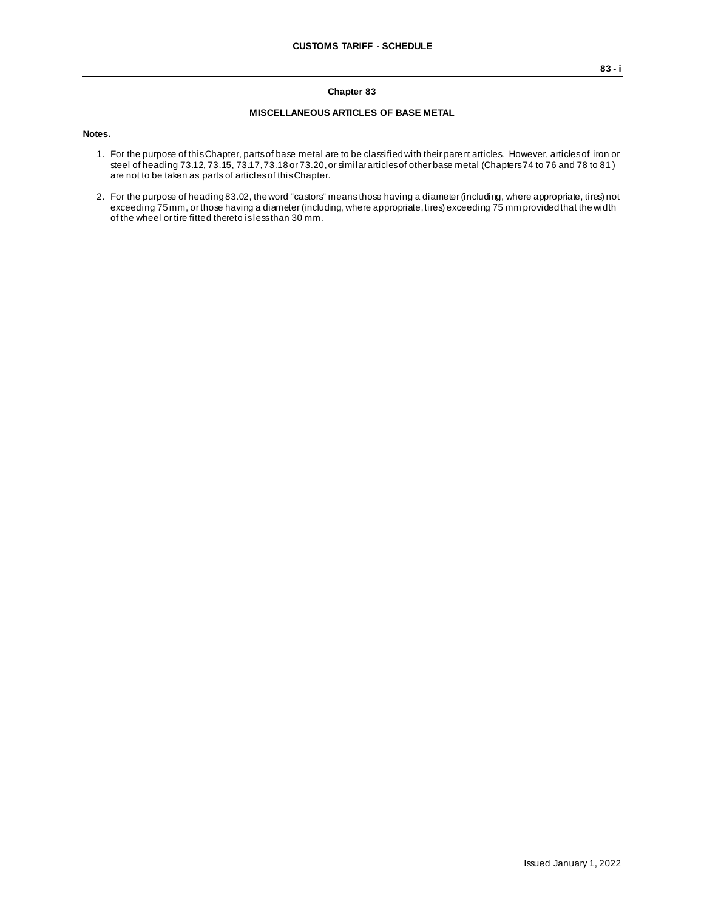#### **Chapter 83**

#### **MISCELLANEOUS ARTICLES OF BASE METAL**

**Notes.**

- 1. For the purpose of this Chapter, parts of base metal are to be classified with their parent articles. However, articles of iron or steel of heading 73.12, 73.15, 73.17, 73.18 or 73.20, or similar articles of other base metal (Chapters 74 to 76 and 78 to 81 ) are not to be taken as parts of articles of this Chapter.
- 2. For the purpose of heading 83.02, the word "castors" means those having a diameter (including, where appropriate, tires) not exceeding 75 mm, or those having a diameter (including, where appropriate, tires) exceeding 75 mm provided that the width of the wheel or tire fitted thereto is less than 30 mm.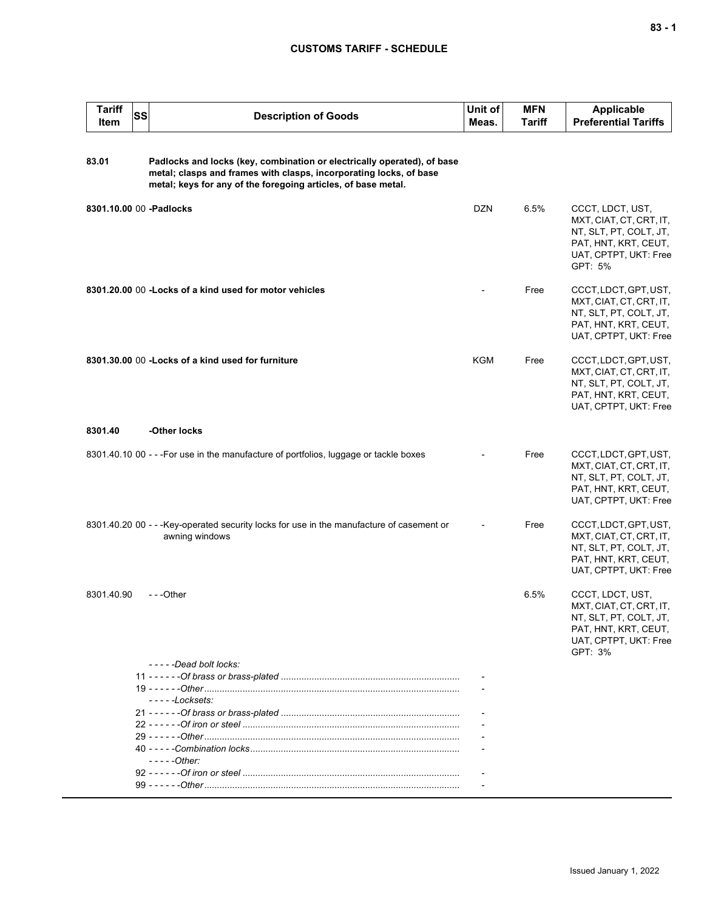### **CUSTOMS TARIFF - SCHEDULE**

| <b>Tariff</b><br>Item | <b>SS</b> | <b>Description of Goods</b>                                                                                                                                                                                    | Unit of<br>Meas. | <b>MFN</b><br><b>Tariff</b> | <b>Applicable</b><br><b>Preferential Tariffs</b>                                                                                  |
|-----------------------|-----------|----------------------------------------------------------------------------------------------------------------------------------------------------------------------------------------------------------------|------------------|-----------------------------|-----------------------------------------------------------------------------------------------------------------------------------|
| 83.01                 |           | Padlocks and locks (key, combination or electrically operated), of base<br>metal; clasps and frames with clasps, incorporating locks, of base<br>metal; keys for any of the foregoing articles, of base metal. |                  |                             |                                                                                                                                   |
|                       |           | 8301.10.00 00 -Padlocks                                                                                                                                                                                        | <b>DZN</b>       | 6.5%                        | CCCT, LDCT, UST,<br>MXT, CIAT, CT, CRT, IT,<br>NT, SLT, PT, COLT, JT,<br>PAT, HNT, KRT, CEUT,<br>UAT, CPTPT, UKT: Free<br>GPT: 5% |
|                       |           | 8301.20.00 00 - Locks of a kind used for motor vehicles                                                                                                                                                        |                  | Free                        | CCCT, LDCT, GPT, UST,<br>MXT, CIAT, CT, CRT, IT,<br>NT, SLT, PT, COLT, JT,<br>PAT, HNT, KRT, CEUT,<br>UAT, CPTPT, UKT: Free       |
|                       |           | 8301.30.00 00 - Locks of a kind used for furniture                                                                                                                                                             | KGM              | Free                        | CCCT, LDCT, GPT, UST,<br>MXT, CIAT, CT, CRT, IT,<br>NT, SLT, PT, COLT, JT,<br>PAT, HNT, KRT, CEUT,<br>UAT, CPTPT, UKT: Free       |
| 8301.40               |           | -Other locks                                                                                                                                                                                                   |                  |                             |                                                                                                                                   |
|                       |           | 8301.40.10 00 - - - For use in the manufacture of portfolios, luggage or tackle boxes                                                                                                                          |                  | Free                        | CCCT, LDCT, GPT, UST,<br>MXT, CIAT, CT, CRT, IT,<br>NT, SLT, PT, COLT, JT,<br>PAT, HNT, KRT, CEUT,<br>UAT, CPTPT, UKT: Free       |
|                       |           | 8301.40.20 00 - - - Key-operated security locks for use in the manufacture of casement or<br>awning windows                                                                                                    |                  | Free                        | CCCT, LDCT, GPT, UST,<br>MXT, CIAT, CT, CRT, IT,<br>NT, SLT, PT, COLT, JT,<br>PAT, HNT, KRT, CEUT,<br>UAT, CPTPT, UKT: Free       |
| 8301.40.90            |           | ---Other                                                                                                                                                                                                       |                  | 6.5%                        | CCCT, LDCT, UST,<br>MXT, CIAT, CT, CRT, IT,<br>NT, SLT, PT, COLT, JT,<br>PAT, HNT, KRT, CEUT,<br>UAT, CPTPT, UKT: Free<br>GPT: 3% |
|                       |           | -----Dead bolt locks:                                                                                                                                                                                          |                  |                             |                                                                                                                                   |
|                       |           |                                                                                                                                                                                                                |                  |                             |                                                                                                                                   |
|                       |           | $---Locksets:$                                                                                                                                                                                                 |                  |                             |                                                                                                                                   |
|                       |           |                                                                                                                                                                                                                |                  |                             |                                                                                                                                   |
|                       |           |                                                                                                                                                                                                                |                  |                             |                                                                                                                                   |
|                       |           | $---Other$                                                                                                                                                                                                     |                  |                             |                                                                                                                                   |
|                       |           |                                                                                                                                                                                                                |                  |                             |                                                                                                                                   |
|                       |           |                                                                                                                                                                                                                |                  |                             |                                                                                                                                   |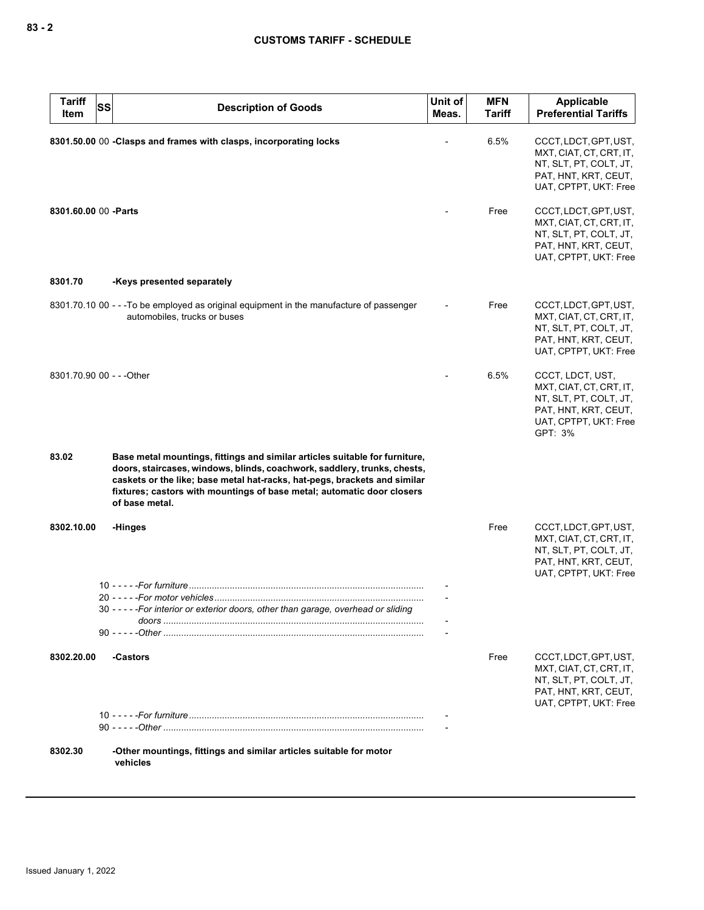| <b>Tariff</b><br>Item     | <b>SS</b> | <b>Description of Goods</b>                                                                                                                                                                                                                                                                                                      | Unit of<br>Meas. | <b>MFN</b><br><b>Tariff</b> | <b>Applicable</b><br><b>Preferential Tariffs</b>                                                                                  |
|---------------------------|-----------|----------------------------------------------------------------------------------------------------------------------------------------------------------------------------------------------------------------------------------------------------------------------------------------------------------------------------------|------------------|-----------------------------|-----------------------------------------------------------------------------------------------------------------------------------|
|                           |           | 8301.50.00 00 -Clasps and frames with clasps, incorporating locks                                                                                                                                                                                                                                                                |                  | 6.5%                        | CCCT, LDCT, GPT, UST,<br>MXT, CIAT, CT, CRT, IT,<br>NT, SLT, PT, COLT, JT,<br>PAT, HNT, KRT, CEUT,<br>UAT, CPTPT, UKT: Free       |
| 8301.60.00 00 - Parts     |           |                                                                                                                                                                                                                                                                                                                                  |                  | Free                        | CCCT, LDCT, GPT, UST,<br>MXT, CIAT, CT, CRT, IT,<br>NT, SLT, PT, COLT, JT,<br>PAT, HNT, KRT, CEUT,<br>UAT, CPTPT, UKT: Free       |
| 8301.70                   |           | -Keys presented separately                                                                                                                                                                                                                                                                                                       |                  |                             |                                                                                                                                   |
|                           |           | 8301.70.10 00 - - - To be employed as original equipment in the manufacture of passenger<br>automobiles, trucks or buses                                                                                                                                                                                                         |                  | Free                        | CCCT, LDCT, GPT, UST,<br>MXT, CIAT, CT, CRT, IT,<br>NT, SLT, PT, COLT, JT,<br>PAT, HNT, KRT, CEUT,<br>UAT, CPTPT, UKT: Free       |
| 8301.70.90 00 - - - Other |           |                                                                                                                                                                                                                                                                                                                                  |                  | 6.5%                        | CCCT, LDCT, UST,<br>MXT, CIAT, CT, CRT, IT,<br>NT, SLT, PT, COLT, JT,<br>PAT, HNT, KRT, CEUT,<br>UAT, CPTPT, UKT: Free<br>GPT: 3% |
| 83.02                     |           | Base metal mountings, fittings and similar articles suitable for furniture,<br>doors, staircases, windows, blinds, coachwork, saddlery, trunks, chests,<br>caskets or the like; base metal hat-racks, hat-pegs, brackets and similar<br>fixtures; castors with mountings of base metal; automatic door closers<br>of base metal. |                  |                             |                                                                                                                                   |
| 8302.10.00                |           | -Hinges                                                                                                                                                                                                                                                                                                                          |                  | Free                        | CCCT, LDCT, GPT, UST,<br>MXT, CIAT, CT, CRT, IT,<br>NT, SLT, PT, COLT, JT,<br>PAT, HNT, KRT, CEUT,<br>UAT, CPTPT, UKT: Free       |
|                           |           | 30 - - - - - For interior or exterior doors, other than garage, overhead or sliding                                                                                                                                                                                                                                              |                  |                             |                                                                                                                                   |
|                           |           |                                                                                                                                                                                                                                                                                                                                  |                  |                             |                                                                                                                                   |
| 8302.20.00                |           | -Castors                                                                                                                                                                                                                                                                                                                         |                  | Free                        | CCCT, LDCT, GPT, UST,<br>MXT, CIAT, CT, CRT, IT,<br>NT, SLT, PT, COLT, JT,<br>PAT, HNT, KRT, CEUT,<br>UAT, CPTPT, UKT: Free       |
|                           |           |                                                                                                                                                                                                                                                                                                                                  |                  |                             |                                                                                                                                   |
| 8302.30                   |           | -Other mountings, fittings and similar articles suitable for motor<br>vehicles                                                                                                                                                                                                                                                   |                  |                             |                                                                                                                                   |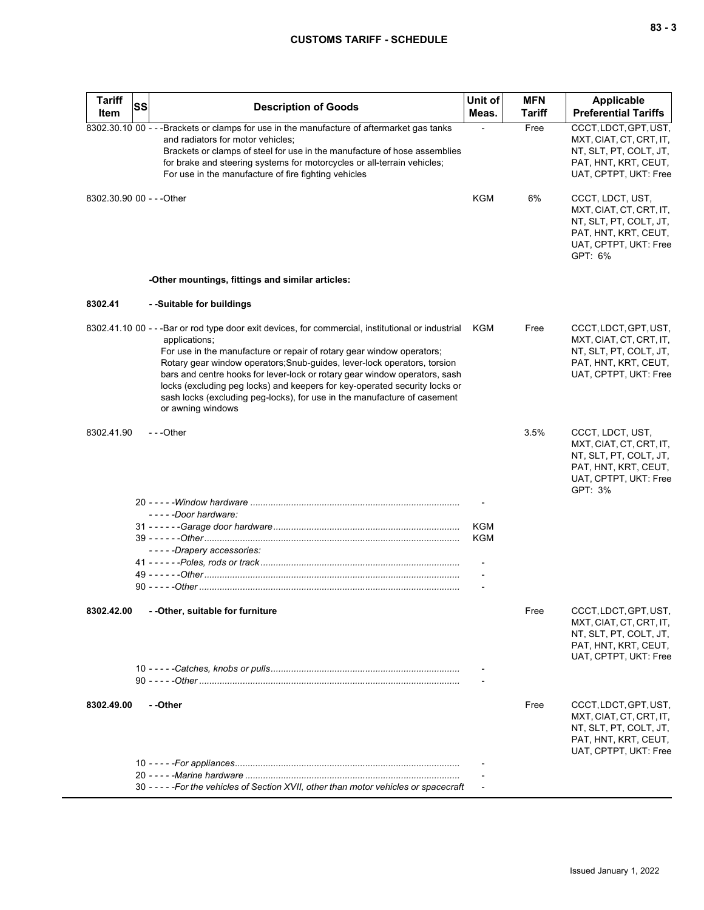## **CUSTOMS TARIFF - SCHEDULE**

| <b>Tariff</b><br>Item     | <b>SS</b> | <b>Description of Goods</b>                                                                                                                                                                                                                                                                                                                                                                                                                                                                                                               | Unit of<br>Meas. | <b>MFN</b><br>Tariff | Applicable<br><b>Preferential Tariffs</b>                                                                                         |
|---------------------------|-----------|-------------------------------------------------------------------------------------------------------------------------------------------------------------------------------------------------------------------------------------------------------------------------------------------------------------------------------------------------------------------------------------------------------------------------------------------------------------------------------------------------------------------------------------------|------------------|----------------------|-----------------------------------------------------------------------------------------------------------------------------------|
|                           |           | 8302.30.10 00 - - - Brackets or clamps for use in the manufacture of aftermarket gas tanks<br>and radiators for motor vehicles;<br>Brackets or clamps of steel for use in the manufacture of hose assemblies<br>for brake and steering systems for motorcycles or all-terrain vehicles;<br>For use in the manufacture of fire fighting vehicles                                                                                                                                                                                           |                  | Free                 | CCCT, LDCT, GPT, UST,<br>MXT, CIAT, CT, CRT, IT,<br>NT, SLT, PT, COLT, JT,<br>PAT, HNT, KRT, CEUT,<br>UAT, CPTPT, UKT: Free       |
| 8302.30.90 00 - - - Other |           |                                                                                                                                                                                                                                                                                                                                                                                                                                                                                                                                           | <b>KGM</b>       | 6%                   | CCCT, LDCT, UST,<br>MXT, CIAT, CT, CRT, IT,<br>NT, SLT, PT, COLT, JT,<br>PAT, HNT, KRT, CEUT,<br>UAT, CPTPT, UKT: Free<br>GPT: 6% |
|                           |           | -Other mountings, fittings and similar articles:                                                                                                                                                                                                                                                                                                                                                                                                                                                                                          |                  |                      |                                                                                                                                   |
| 8302.41                   |           | - -Suitable for buildings                                                                                                                                                                                                                                                                                                                                                                                                                                                                                                                 |                  |                      |                                                                                                                                   |
|                           |           | 8302.41.10 00 - - - Bar or rod type door exit devices, for commercial, institutional or industrial KGM<br>applications;<br>For use in the manufacture or repair of rotary gear window operators;<br>Rotary gear window operators; Snub-guides, lever-lock operators, torsion<br>bars and centre hooks for lever-lock or rotary gear window operators, sash<br>locks (excluding peg locks) and keepers for key-operated security locks or<br>sash locks (excluding peg-locks), for use in the manufacture of casement<br>or awning windows |                  | Free                 | CCCT, LDCT, GPT, UST,<br>MXT, CIAT, CT, CRT, IT,<br>NT, SLT, PT, COLT, JT,<br>PAT, HNT, KRT, CEUT,<br>UAT, CPTPT, UKT: Free       |
| 8302.41.90                |           | ---Other                                                                                                                                                                                                                                                                                                                                                                                                                                                                                                                                  |                  | 3.5%                 | CCCT, LDCT, UST,<br>MXT, CIAT, CT, CRT, IT,<br>NT, SLT, PT, COLT, JT,<br>PAT, HNT, KRT, CEUT,<br>UAT, CPTPT, UKT: Free<br>GPT: 3% |
|                           |           |                                                                                                                                                                                                                                                                                                                                                                                                                                                                                                                                           |                  |                      |                                                                                                                                   |
|                           |           | - - - - -Door hardware:                                                                                                                                                                                                                                                                                                                                                                                                                                                                                                                   | KGM              |                      |                                                                                                                                   |
|                           |           |                                                                                                                                                                                                                                                                                                                                                                                                                                                                                                                                           | KGM              |                      |                                                                                                                                   |
|                           |           | -----Drapery accessories:                                                                                                                                                                                                                                                                                                                                                                                                                                                                                                                 |                  |                      |                                                                                                                                   |
|                           |           |                                                                                                                                                                                                                                                                                                                                                                                                                                                                                                                                           |                  |                      |                                                                                                                                   |
|                           |           |                                                                                                                                                                                                                                                                                                                                                                                                                                                                                                                                           |                  |                      |                                                                                                                                   |
|                           |           |                                                                                                                                                                                                                                                                                                                                                                                                                                                                                                                                           |                  |                      |                                                                                                                                   |
| 8302.42.00                |           | - - Other, suitable for furniture                                                                                                                                                                                                                                                                                                                                                                                                                                                                                                         |                  | Free                 | CCCT, LDCT, GPT, UST,<br>MXT, CIAT, CT, CRT, IT,<br>NT, SLT, PT, COLT, JT,<br>PAT, HNT, KRT, CEUT,<br>UAT, CPTPT, UKT: Free       |
|                           |           |                                                                                                                                                                                                                                                                                                                                                                                                                                                                                                                                           |                  |                      |                                                                                                                                   |
|                           |           |                                                                                                                                                                                                                                                                                                                                                                                                                                                                                                                                           |                  |                      |                                                                                                                                   |
| 8302.49.00                |           | - -Other                                                                                                                                                                                                                                                                                                                                                                                                                                                                                                                                  |                  | Free                 | CCCT, LDCT, GPT, UST,<br>MXT, CIAT, CT, CRT, IT,<br>NT, SLT, PT, COLT, JT,<br>PAT, HNT, KRT, CEUT,<br>UAT, CPTPT, UKT: Free       |
|                           |           |                                                                                                                                                                                                                                                                                                                                                                                                                                                                                                                                           |                  |                      |                                                                                                                                   |
|                           |           | 30 - - - - - For the vehicles of Section XVII, other than motor vehicles or spacecraft                                                                                                                                                                                                                                                                                                                                                                                                                                                    |                  |                      |                                                                                                                                   |
|                           |           |                                                                                                                                                                                                                                                                                                                                                                                                                                                                                                                                           |                  |                      |                                                                                                                                   |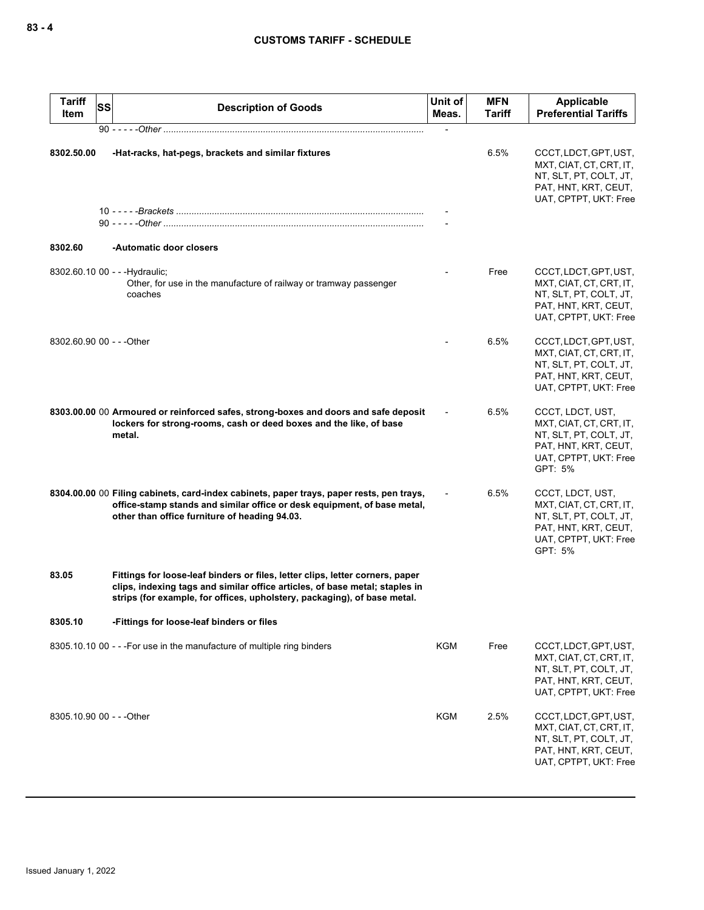| <b>Tariff</b><br>SS<br>Item | <b>Description of Goods</b>                                                                                                                                                                                                              | Unit of<br>Meas. | <b>MFN</b><br>Tariff | Applicable<br><b>Preferential Tariffs</b>                                                                                         |
|-----------------------------|------------------------------------------------------------------------------------------------------------------------------------------------------------------------------------------------------------------------------------------|------------------|----------------------|-----------------------------------------------------------------------------------------------------------------------------------|
|                             | 90 - - - - - Other ………………………………………………………………………………………                                                                                                                                                                                     |                  |                      |                                                                                                                                   |
| 8302.50.00                  | -Hat-racks, hat-pegs, brackets and similar fixtures                                                                                                                                                                                      |                  | 6.5%                 | CCCT, LDCT, GPT, UST,<br>MXT, CIAT, CT, CRT, IT,<br>NT, SLT, PT, COLT, JT,<br>PAT, HNT, KRT, CEUT,<br>UAT, CPTPT, UKT: Free       |
| 8302.60                     | -Automatic door closers                                                                                                                                                                                                                  |                  |                      |                                                                                                                                   |
|                             | 8302.60.10 00 - - - Hydraulic;<br>Other, for use in the manufacture of railway or tramway passenger<br>coaches                                                                                                                           |                  | Free                 | CCCT, LDCT, GPT, UST,<br>MXT, CIAT, CT, CRT, IT,<br>NT, SLT, PT, COLT, JT,<br>PAT, HNT, KRT, CEUT,<br>UAT, CPTPT, UKT: Free       |
| 8302.60.90 00 - - - Other   |                                                                                                                                                                                                                                          |                  | 6.5%                 | CCCT, LDCT, GPT, UST,<br>MXT, CIAT, CT, CRT, IT,<br>NT, SLT, PT, COLT, JT,<br>PAT, HNT, KRT, CEUT,<br>UAT, CPTPT, UKT: Free       |
|                             | 8303.00.00 00 Armoured or reinforced safes, strong-boxes and doors and safe deposit<br>lockers for strong-rooms, cash or deed boxes and the like, of base<br>metal.                                                                      |                  | 6.5%                 | CCCT, LDCT, UST,<br>MXT, CIAT, CT, CRT, IT,<br>NT, SLT, PT, COLT, JT,<br>PAT, HNT, KRT, CEUT,<br>UAT, CPTPT, UKT: Free<br>GPT: 5% |
|                             | 8304.00.00 00 Filing cabinets, card-index cabinets, paper trays, paper rests, pen trays,<br>office-stamp stands and similar office or desk equipment, of base metal,<br>other than office furniture of heading 94.03.                    |                  | 6.5%                 | CCCT, LDCT, UST,<br>MXT, CIAT, CT, CRT, IT,<br>NT, SLT, PT, COLT, JT,<br>PAT, HNT, KRT, CEUT,<br>UAT, CPTPT, UKT: Free<br>GPT: 5% |
| 83.05                       | Fittings for loose-leaf binders or files, letter clips, letter corners, paper<br>clips, indexing tags and similar office articles, of base metal; staples in<br>strips (for example, for offices, upholstery, packaging), of base metal. |                  |                      |                                                                                                                                   |
| 8305.10                     | -Fittings for loose-leaf binders or files                                                                                                                                                                                                |                  |                      |                                                                                                                                   |
|                             | 8305.10.10 00 - - - For use in the manufacture of multiple ring binders                                                                                                                                                                  | <b>KGM</b>       | Free                 | CCCT, LDCT, GPT, UST,<br>MXT, CIAT, CT, CRT, IT,<br>NT, SLT, PT, COLT, JT,<br>PAT, HNT, KRT, CEUT,<br>UAT, CPTPT, UKT: Free       |
| 8305.10.90 00 - - - Other   |                                                                                                                                                                                                                                          | <b>KGM</b>       | 2.5%                 | CCCT, LDCT, GPT, UST,<br>MXT, CIAT, CT, CRT, IT,<br>NT, SLT, PT, COLT, JT,<br>PAT, HNT, KRT, CEUT,<br>UAT, CPTPT, UKT: Free       |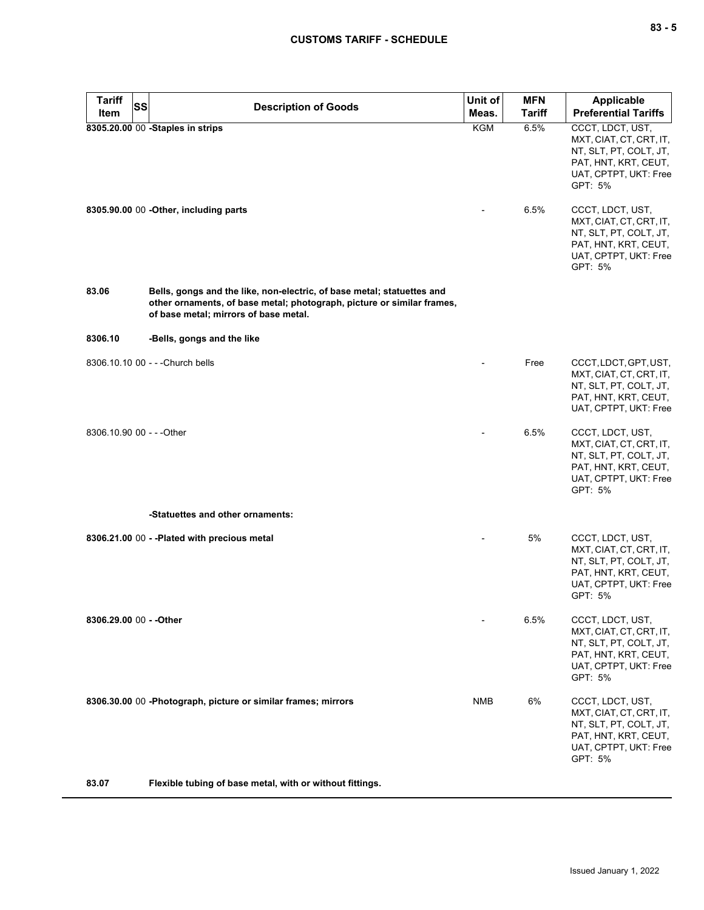| <b>Tariff</b><br><b>SS</b> | <b>Description of Goods</b>                                                                                                                                                               | Unit of    | <b>MFN</b>    | <b>Applicable</b>                                                                                                                 |
|----------------------------|-------------------------------------------------------------------------------------------------------------------------------------------------------------------------------------------|------------|---------------|-----------------------------------------------------------------------------------------------------------------------------------|
| Item                       |                                                                                                                                                                                           | Meas.      | <b>Tariff</b> | <b>Preferential Tariffs</b>                                                                                                       |
|                            | 8305.20.00 00 -Staples in strips                                                                                                                                                          | <b>KGM</b> | 6.5%          | CCCT, LDCT, UST,<br>MXT, CIAT, CT, CRT, IT,<br>NT, SLT, PT, COLT, JT,<br>PAT, HNT, KRT, CEUT,<br>UAT, CPTPT, UKT: Free<br>GPT: 5% |
|                            | 8305.90.00 00 - Other, including parts                                                                                                                                                    |            | 6.5%          | CCCT, LDCT, UST,<br>MXT, CIAT, CT, CRT, IT,<br>NT, SLT, PT, COLT, JT,<br>PAT, HNT, KRT, CEUT,<br>UAT, CPTPT, UKT: Free<br>GPT: 5% |
| 83.06                      | Bells, gongs and the like, non-electric, of base metal; statuettes and<br>other ornaments, of base metal; photograph, picture or similar frames,<br>of base metal; mirrors of base metal. |            |               |                                                                                                                                   |
| 8306.10                    | -Bells, gongs and the like                                                                                                                                                                |            |               |                                                                                                                                   |
|                            | 8306.10.10 00 - - - Church bells                                                                                                                                                          |            | Free          | CCCT, LDCT, GPT, UST,<br>MXT, CIAT, CT, CRT, IT,<br>NT, SLT, PT, COLT, JT,<br>PAT, HNT, KRT, CEUT,<br>UAT, CPTPT, UKT: Free       |
| 8306.10.90 00 - - - Other  |                                                                                                                                                                                           |            | 6.5%          | CCCT, LDCT, UST,<br>MXT, CIAT, CT, CRT, IT,<br>NT, SLT, PT, COLT, JT,<br>PAT, HNT, KRT, CEUT,<br>UAT, CPTPT, UKT: Free<br>GPT: 5% |
|                            | -Statuettes and other ornaments:                                                                                                                                                          |            |               |                                                                                                                                   |
|                            | 8306.21.00 00 - - Plated with precious metal                                                                                                                                              |            | 5%            | CCCT, LDCT, UST,<br>MXT, CIAT, CT, CRT, IT,<br>NT, SLT, PT, COLT, JT,<br>PAT, HNT, KRT, CEUT,<br>UAT, CPTPT, UKT: Free<br>GPT: 5% |
| 8306.29.00 00 - - Other    |                                                                                                                                                                                           |            | 6.5%          | CCCT, LDCT, UST,<br>MXT, CIAT, CT, CRT, IT,<br>NT, SLT, PT, COLT, JT,<br>PAT, HNT, KRT, CEUT,<br>UAT, CPTPT, UKT: Free<br>GPT: 5% |
|                            | 8306.30.00 00 -Photograph, picture or similar frames; mirrors                                                                                                                             | <b>NMB</b> | 6%            | CCCT, LDCT, UST,<br>MXT, CIAT, CT, CRT, IT,<br>NT, SLT, PT, COLT, JT,<br>PAT, HNT, KRT, CEUT,<br>UAT, CPTPT, UKT: Free<br>GPT: 5% |
| 83.07                      | Flexible tubing of base metal, with or without fittings.                                                                                                                                  |            |               |                                                                                                                                   |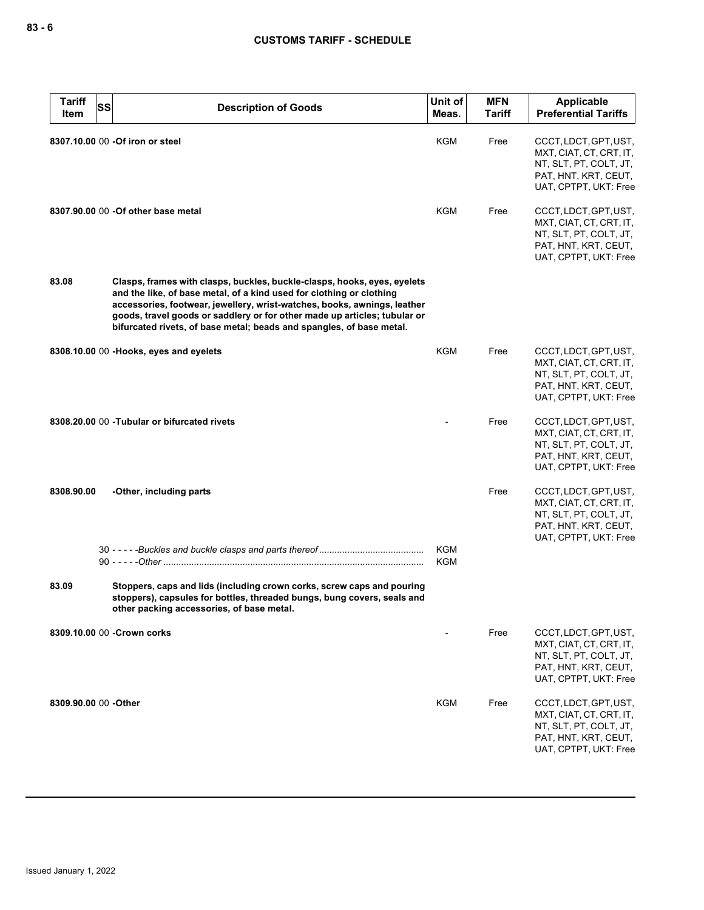| <b>Tariff</b><br>Item | SS | <b>Description of Goods</b>                                                                                                                                                                                                                                                                                                                                                       | Unit of<br>Meas.         | <b>MFN</b><br><b>Tariff</b> | <b>Applicable</b><br><b>Preferential Tariffs</b>                                                                            |
|-----------------------|----|-----------------------------------------------------------------------------------------------------------------------------------------------------------------------------------------------------------------------------------------------------------------------------------------------------------------------------------------------------------------------------------|--------------------------|-----------------------------|-----------------------------------------------------------------------------------------------------------------------------|
|                       |    | 8307.10.00 00 -Of iron or steel                                                                                                                                                                                                                                                                                                                                                   | <b>KGM</b>               | Free                        | CCCT, LDCT, GPT, UST,<br>MXT, CIAT, CT, CRT, IT,<br>NT, SLT, PT, COLT, JT,<br>PAT, HNT, KRT, CEUT,<br>UAT, CPTPT, UKT: Free |
|                       |    | 8307.90.00 00 - Of other base metal                                                                                                                                                                                                                                                                                                                                               | KGM                      | Free                        | CCCT, LDCT, GPT, UST,<br>MXT, CIAT, CT, CRT, IT,<br>NT, SLT, PT, COLT, JT,<br>PAT, HNT, KRT, CEUT,<br>UAT, CPTPT, UKT: Free |
| 83.08                 |    | Clasps, frames with clasps, buckles, buckle-clasps, hooks, eyes, eyelets<br>and the like, of base metal, of a kind used for clothing or clothing<br>accessories, footwear, jewellery, wrist-watches, books, awnings, leather<br>goods, travel goods or saddlery or for other made up articles; tubular or<br>bifurcated rivets, of base metal; beads and spangles, of base metal. |                          |                             |                                                                                                                             |
|                       |    | 8308.10.00 00 -Hooks, eyes and eyelets                                                                                                                                                                                                                                                                                                                                            | KGM                      | Free                        | CCCT, LDCT, GPT, UST,<br>MXT, CIAT, CT, CRT, IT,<br>NT, SLT, PT, COLT, JT,<br>PAT, HNT, KRT, CEUT,<br>UAT, CPTPT, UKT: Free |
|                       |    | 8308.20.00 00 -Tubular or bifurcated rivets                                                                                                                                                                                                                                                                                                                                       |                          | Free                        | CCCT, LDCT, GPT, UST,<br>MXT, CIAT, CT, CRT, IT,<br>NT, SLT, PT, COLT, JT,<br>PAT, HNT, KRT, CEUT,<br>UAT, CPTPT, UKT: Free |
| 8308.90.00            |    | -Other, including parts                                                                                                                                                                                                                                                                                                                                                           |                          | Free                        | CCCT, LDCT, GPT, UST,<br>MXT, CIAT, CT, CRT, IT,<br>NT, SLT, PT, COLT, JT,<br>PAT, HNT, KRT, CEUT,<br>UAT, CPTPT, UKT: Free |
|                       |    |                                                                                                                                                                                                                                                                                                                                                                                   | <b>KGM</b><br><b>KGM</b> |                             |                                                                                                                             |
| 83.09                 |    | Stoppers, caps and lids (including crown corks, screw caps and pouring<br>stoppers), capsules for bottles, threaded bungs, bung covers, seals and<br>other packing accessories, of base metal.                                                                                                                                                                                    |                          |                             |                                                                                                                             |
|                       |    | 8309.10.00 00 - Crown corks                                                                                                                                                                                                                                                                                                                                                       |                          | Free                        | CCCT, LDCT, GPT, UST,<br>MXT, CIAT, CT, CRT, IT,<br>NT, SLT, PT, COLT, JT,<br>PAT, HNT, KRT, CEUT,<br>UAT, CPTPT, UKT: Free |
| 8309.90.00 00 - Other |    |                                                                                                                                                                                                                                                                                                                                                                                   | KGM                      | Free                        | CCCT, LDCT, GPT, UST,<br>MXT, CIAT, CT, CRT, IT,<br>NT, SLT, PT, COLT, JT,<br>PAT, HNT, KRT, CEUT,<br>UAT, CPTPT, UKT: Free |